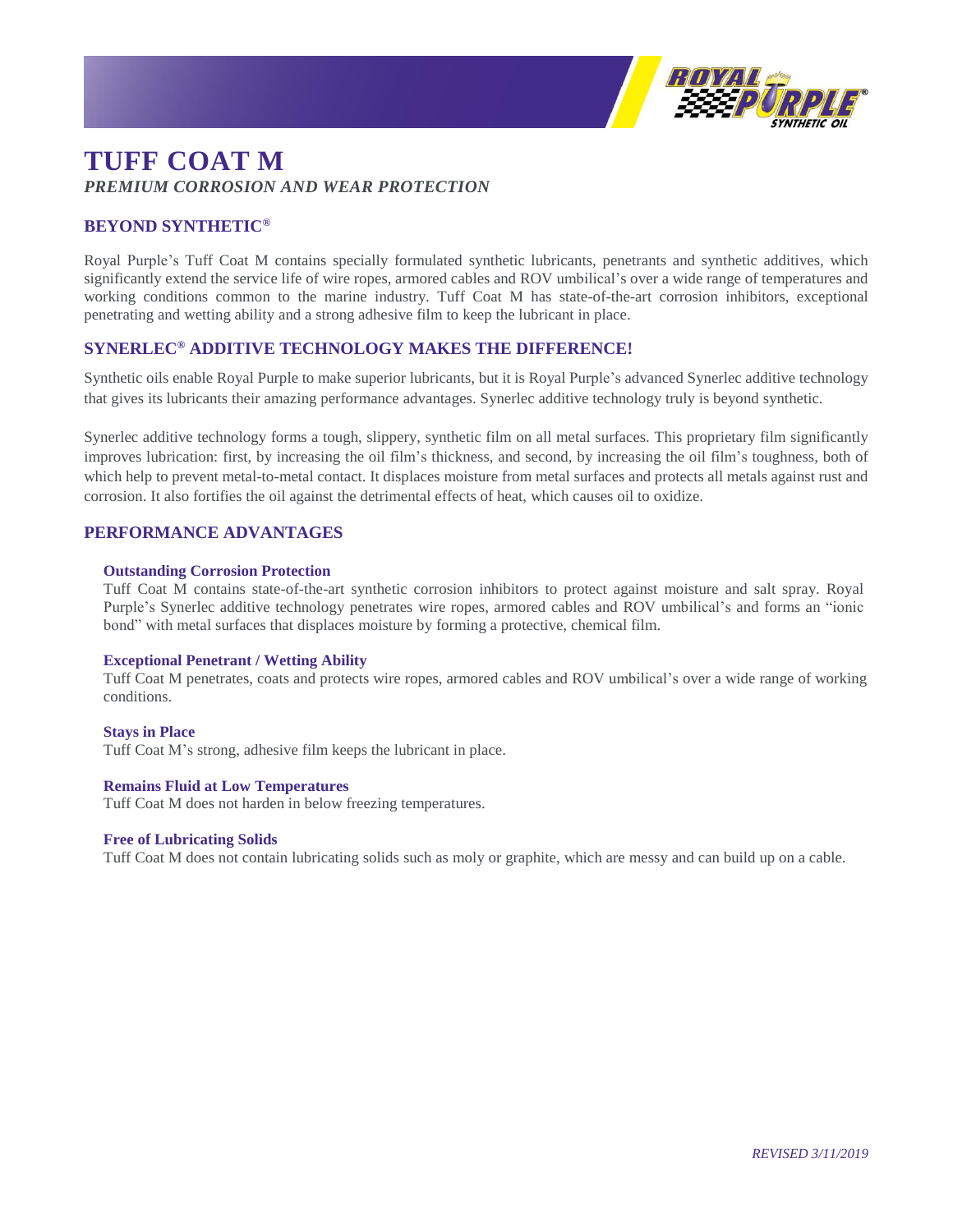

# **TUFF COAT M** *PREMIUM CORROSION AND WEAR PROTECTION*

# **BEYOND SYNTHETIC®**

Royal Purple's Tuff Coat M contains specially formulated synthetic lubricants, penetrants and synthetic additives, which significantly extend the service life of wire ropes, armored cables and ROV umbilical's over a wide range of temperatures and working conditions common to the marine industry. Tuff Coat M has state-of-the-art corrosion inhibitors, exceptional penetrating and wetting ability and a strong adhesive film to keep the lubricant in place.

## **SYNERLEC® ADDITIVE TECHNOLOGY MAKES THE DIFFERENCE!**

Synthetic oils enable Royal Purple to make superior lubricants, but it is Royal Purple's advanced Synerlec additive technology that gives its lubricants their amazing performance advantages. Synerlec additive technology truly is beyond synthetic.

Synerlec additive technology forms a tough, slippery, synthetic film on all metal surfaces. This proprietary film significantly improves lubrication: first, by increasing the oil film's thickness, and second, by increasing the oil film's toughness, both of which help to prevent metal-to-metal contact. It displaces moisture from metal surfaces and protects all metals against rust and corrosion. It also fortifies the oil against the detrimental effects of heat, which causes oil to oxidize.

## **PERFORMANCE ADVANTAGES**

#### **Outstanding Corrosion Protection**

Tuff Coat M contains state-of-the-art synthetic corrosion inhibitors to protect against moisture and salt spray. Royal Purple's Synerlec additive technology penetrates wire ropes, armored cables and ROV umbilical's and forms an "ionic bond" with metal surfaces that displaces moisture by forming a protective, chemical film.

#### **Exceptional Penetrant / Wetting Ability**

Tuff Coat M penetrates, coats and protects wire ropes, armored cables and ROV umbilical's over a wide range of working conditions.

**Stays in Place** Tuff Coat M's strong, adhesive film keeps the lubricant in place.

### **Remains Fluid at Low Temperatures**

Tuff Coat M does not harden in below freezing temperatures.

#### **Free of Lubricating Solids**

Tuff Coat M does not contain lubricating solids such as moly or graphite, which are messy and can build up on a cable.